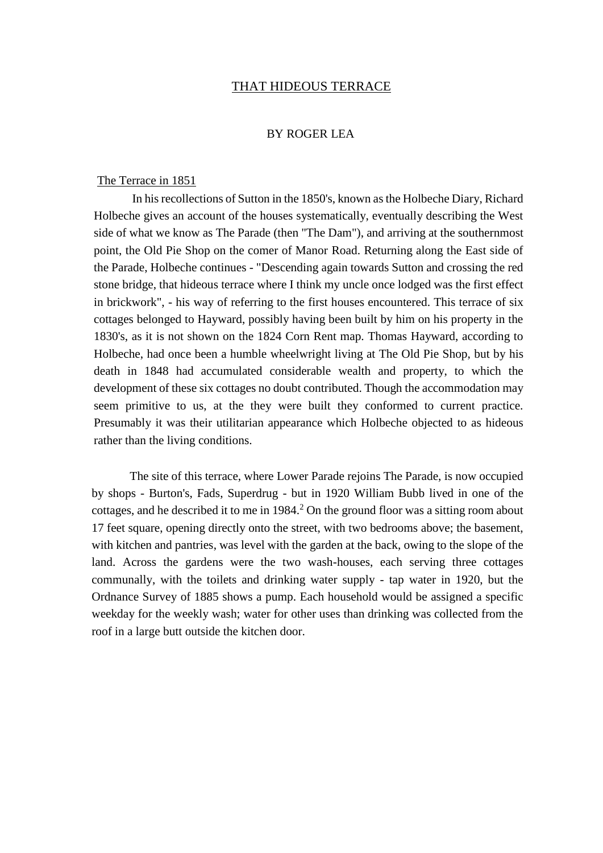#### THAT HIDEOUS TERRACE

#### BY ROGER LEA

#### The Terrace in 1851

In his recollections of Sutton in the 1850's, known as the Holbeche Diary, Richard Holbeche gives an account of the houses systematically, eventually describing the West side of what we know as The Parade (then "The Dam"), and arriving at the southernmost point, the Old Pie Shop on the comer of Manor Road. Returning along the East side of the Parade, Holbeche continues - "Descending again towards Sutton and crossing the red stone bridge, that hideous terrace where I think my uncle once lodged was the first effect in brickwork", - his way of referring to the first houses encountered. This terrace of six cottages belonged to Hayward, possibly having been built by him on his property in the 1830's, as it is not shown on the 1824 Corn Rent map. Thomas Hayward, according to Holbeche, had once been a humble wheelwright living at The Old Pie Shop, but by his death in 1848 had accumulated considerable wealth and property, to which the development of these six cottages no doubt contributed. Though the accommodation may seem primitive to us, at the they were built they conformed to current practice. Presumably it was their utilitarian appearance which Holbeche objected to as hideous rather than the living conditions.

The site of this terrace, where Lower Parade rejoins The Parade, is now occupied by shops - Burton's, Fads, Superdrug - but in 1920 William Bubb lived in one of the cottages, and he described it to me in  $1984<sup>2</sup>$  On the ground floor was a sitting room about 17 feet square, opening directly onto the street, with two bedrooms above; the basement, with kitchen and pantries, was level with the garden at the back, owing to the slope of the land. Across the gardens were the two wash-houses, each serving three cottages communally, with the toilets and drinking water supply - tap water in 1920, but the Ordnance Survey of 1885 shows a pump. Each household would be assigned a specific weekday for the weekly wash; water for other uses than drinking was collected from the roof in a large butt outside the kitchen door.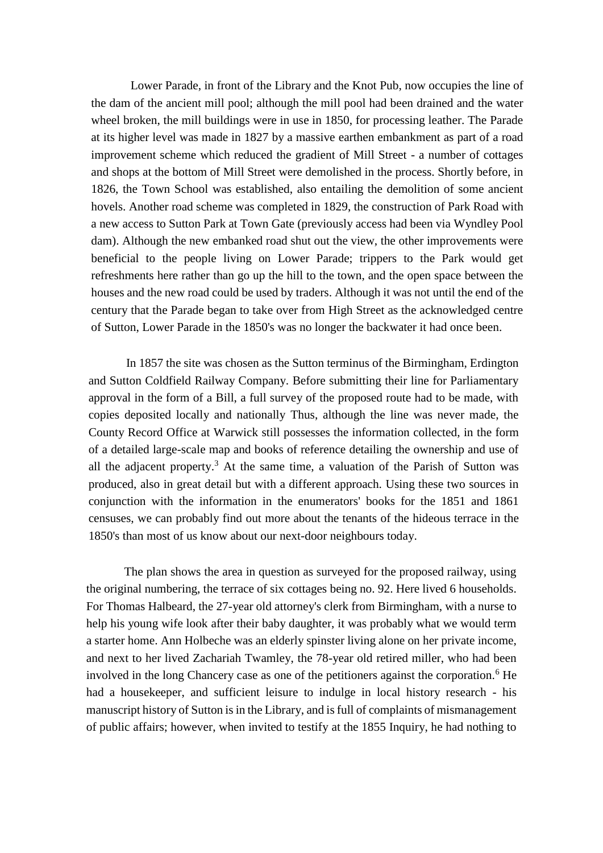Lower Parade, in front of the Library and the Knot Pub, now occupies the line of the dam of the ancient mill pool; although the mill pool had been drained and the water wheel broken, the mill buildings were in use in 1850, for processing leather. The Parade at its higher level was made in 1827 by a massive earthen embankment as part of a road improvement scheme which reduced the gradient of Mill Street - a number of cottages and shops at the bottom of Mill Street were demolished in the process. Shortly before, in 1826, the Town School was established, also entailing the demolition of some ancient hovels. Another road scheme was completed in 1829, the construction of Park Road with a new access to Sutton Park at Town Gate (previously access had been via Wyndley Pool dam). Although the new embanked road shut out the view, the other improvements were beneficial to the people living on Lower Parade; trippers to the Park would get refreshments here rather than go up the hill to the town, and the open space between the houses and the new road could be used by traders. Although it was not until the end of the century that the Parade began to take over from High Street as the acknowledged centre of Sutton, Lower Parade in the 1850's was no longer the backwater it had once been.

In 1857 the site was chosen as the Sutton terminus of the Birmingham, Erdington and Sutton Coldfield Railway Company. Before submitting their line for Parliamentary approval in the form of a Bill, a full survey of the proposed route had to be made, with copies deposited locally and nationally Thus, although the line was never made, the County Record Office at Warwick still possesses the information collected, in the form of a detailed large-scale map and books of reference detailing the ownership and use of all the adjacent property.<sup>3</sup> At the same time, a valuation of the Parish of Sutton was produced, also in great detail but with a different approach. Using these two sources in conjunction with the information in the enumerators' books for the 1851 and 1861 censuses, we can probably find out more about the tenants of the hideous terrace in the 1850's than most of us know about our next-door neighbours today.

The plan shows the area in question as surveyed for the proposed railway, using the original numbering, the terrace of six cottages being no. 92. Here lived 6 households. For Thomas Halbeard, the 27-year old attorney's clerk from Birmingham, with a nurse to help his young wife look after their baby daughter, it was probably what we would term a starter home. Ann Holbeche was an elderly spinster living alone on her private income, and next to her lived Zachariah Twamley, the 78-year old retired miller, who had been involved in the long Chancery case as one of the petitioners against the corporation.<sup>6</sup> He had a housekeeper, and sufficient leisure to indulge in local history research - his manuscript history of Sutton is in the Library, and is full of complaints of mismanagement of public affairs; however, when invited to testify at the 1855 Inquiry, he had nothing to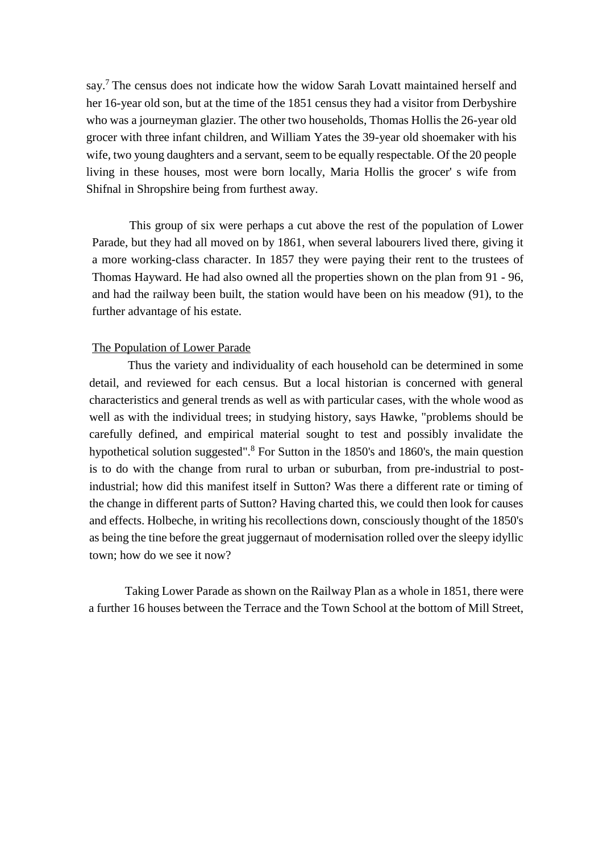say.<sup>7</sup> The census does not indicate how the widow Sarah Lovatt maintained herself and her 16-year old son, but at the time of the 1851 census they had a visitor from Derbyshire who was a journeyman glazier. The other two households, Thomas Hollis the 26-year old grocer with three infant children, and William Yates the 39-year old shoemaker with his wife, two young daughters and a servant, seem to be equally respectable. Of the 20 people living in these houses, most were born locally, Maria Hollis the grocer' s wife from Shifnal in Shropshire being from furthest away.

This group of six were perhaps a cut above the rest of the population of Lower Parade, but they had all moved on by 1861, when several labourers lived there, giving it a more working-class character. In 1857 they were paying their rent to the trustees of Thomas Hayward. He had also owned all the properties shown on the plan from 91 - 96, and had the railway been built, the station would have been on his meadow (91), to the further advantage of his estate.

#### The Population of Lower Parade

Thus the variety and individuality of each household can be determined in some detail, and reviewed for each census. But a local historian is concerned with general characteristics and general trends as well as with particular cases, with the whole wood as well as with the individual trees; in studying history, says Hawke, "problems should be carefully defined, and empirical material sought to test and possibly invalidate the hypothetical solution suggested".<sup>8</sup> For Sutton in the 1850's and 1860's, the main question is to do with the change from rural to urban or suburban, from pre-industrial to postindustrial; how did this manifest itself in Sutton? Was there a different rate or timing of the change in different parts of Sutton? Having charted this, we could then look for causes and effects. Holbeche, in writing his recollections down, consciously thought of the 1850's as being the tine before the great juggernaut of modernisation rolled over the sleepy idyllic town; how do we see it now?

Taking Lower Parade as shown on the Railway Plan as a whole in 1851, there were a further 16 houses between the Terrace and the Town School at the bottom of Mill Street,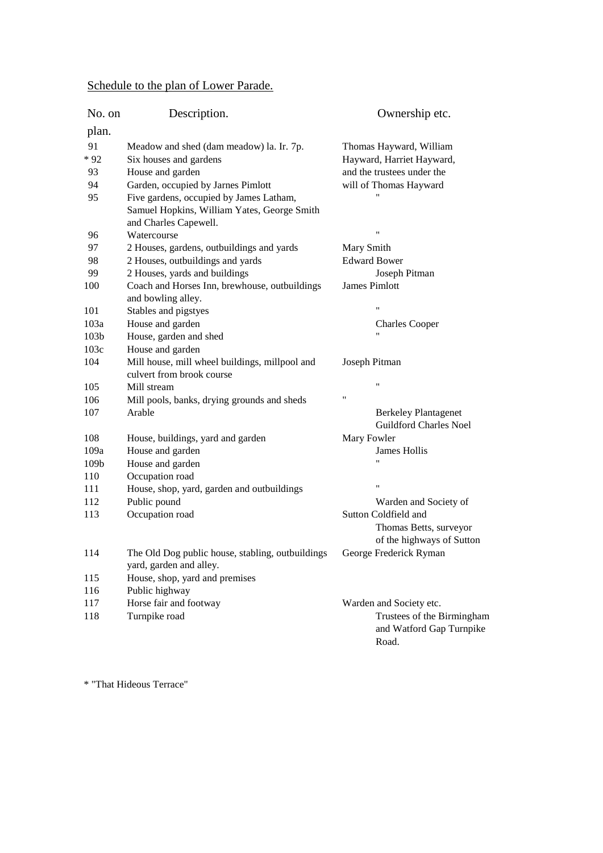## Schedule to the plan of Lower Parade.

| No. on           | Description.                                                                | Ownership etc.                                                              |
|------------------|-----------------------------------------------------------------------------|-----------------------------------------------------------------------------|
| plan.            |                                                                             |                                                                             |
| 91               | Meadow and shed (dam meadow) la. Ir. 7p.                                    | Thomas Hayward, William                                                     |
| $*92$            | Six houses and gardens                                                      | Hayward, Harriet Hayward,                                                   |
| 93               | House and garden                                                            | and the trustees under the                                                  |
| 94               | Garden, occupied by Jarnes Pimlott                                          | will of Thomas Hayward                                                      |
| 95               | Five gardens, occupied by James Latham,                                     |                                                                             |
|                  | Samuel Hopkins, William Yates, George Smith<br>and Charles Capewell.        |                                                                             |
| 96               | Watercourse                                                                 | $^{\dagger}$                                                                |
| 97               | 2 Houses, gardens, outbuildings and yards                                   | Mary Smith                                                                  |
| 98               | 2 Houses, outbuildings and yards                                            | <b>Edward Bower</b>                                                         |
| 99               | 2 Houses, yards and buildings                                               | Joseph Pitman                                                               |
| 100              | Coach and Horses Inn, brewhouse, outbuildings<br>and bowling alley.         | James Pimlott                                                               |
| 101              | Stables and pigstyes                                                        | $\pmb{\mathsf{H}}$                                                          |
| 103a             | House and garden                                                            | <b>Charles Cooper</b>                                                       |
| 103 <sub>b</sub> | House, garden and shed                                                      | 11                                                                          |
| 103c             | House and garden                                                            |                                                                             |
| 104              | Mill house, mill wheel buildings, millpool and<br>culvert from brook course | Joseph Pitman                                                               |
| 105              | Mill stream                                                                 | $^{\prime\prime}$                                                           |
| 106              | Mill pools, banks, drying grounds and sheds                                 | Ħ                                                                           |
| 107              | Arable                                                                      | <b>Berkeley Plantagenet</b>                                                 |
|                  |                                                                             | <b>Guildford Charles Noel</b>                                               |
| 108              | House, buildings, yard and garden                                           | Mary Fowler                                                                 |
| 109a             | House and garden                                                            | James Hollis                                                                |
| 109b             | House and garden                                                            |                                                                             |
| 110              | Occupation road                                                             |                                                                             |
| 111              | House, shop, yard, garden and outbuildings                                  | $\pmb{\mathsf{H}}$                                                          |
| 112              | Public pound                                                                | Warden and Society of                                                       |
| 113              | Occupation road                                                             | Sutton Coldfield and<br>Thomas Betts, surveyor<br>of the highways of Sutton |
| 114              | The Old Dog public house, stabling, outbuildings<br>yard, garden and alley. | George Frederick Ryman                                                      |
| 115              | House, shop, yard and premises                                              |                                                                             |
| 116              | Public highway                                                              |                                                                             |
| 117              | Horse fair and footway                                                      | Warden and Society etc.                                                     |
| 118              | Turnpike road                                                               | Trustees of the Birmingham<br>and Watford Gap Turnpike<br>Road.             |

\* "That Hideous Terrace"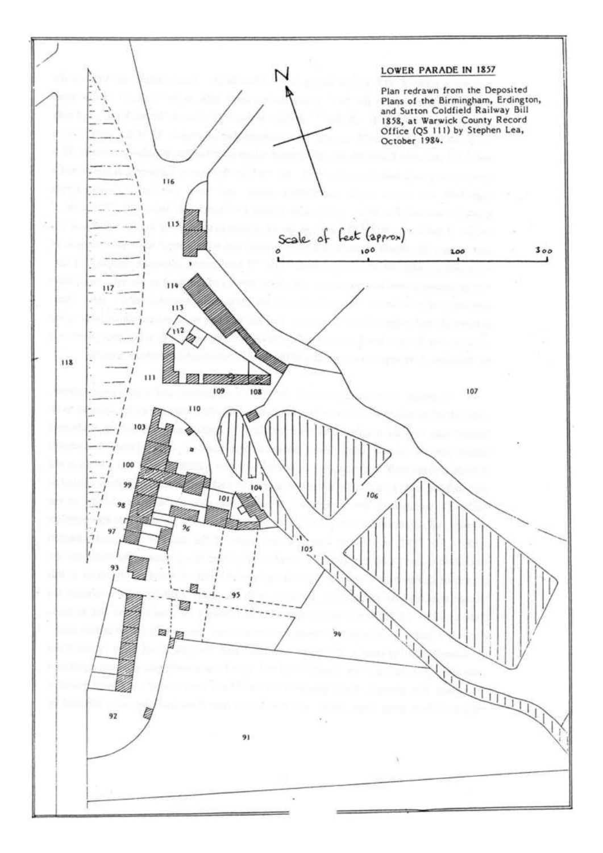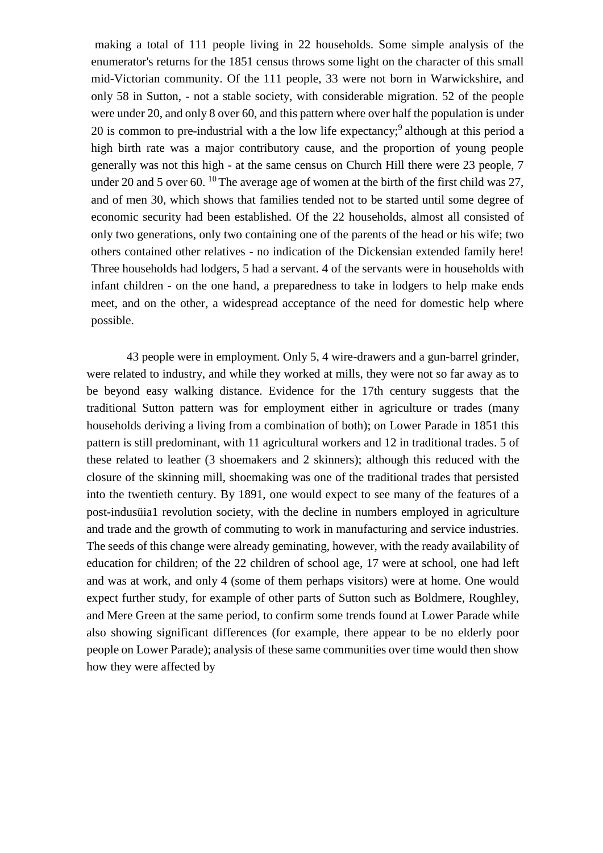making a total of 111 people living in 22 households. Some simple analysis of the enumerator's returns for the 1851 census throws some light on the character of this small mid-Victorian community. Of the 111 people, 33 were not born in Warwickshire, and only 58 in Sutton, - not a stable society, with considerable migration. 52 of the people were under 20, and only 8 over 60, and this pattern where over half the population is under 20 is common to pre-industrial with a the low life expectancy;<sup>9</sup> although at this period a high birth rate was a major contributory cause, and the proportion of young people generally was not this high - at the same census on Church Hill there were 23 people, 7 under 20 and 5 over 60. <sup>10</sup> The average age of women at the birth of the first child was 27, and of men 30, which shows that families tended not to be started until some degree of economic security had been established. Of the 22 households, almost all consisted of only two generations, only two containing one of the parents of the head or his wife; two others contained other relatives - no indication of the Dickensian extended family here! Three households had lodgers, 5 had a servant. 4 of the servants were in households with infant children - on the one hand, a preparedness to take in lodgers to help make ends meet, and on the other, a widespread acceptance of the need for domestic help where possible.

43 people were in employment. Only 5, 4 wire-drawers and a gun-barrel grinder, were related to industry, and while they worked at mills, they were not so far away as to be beyond easy walking distance. Evidence for the 17th century suggests that the traditional Sutton pattern was for employment either in agriculture or trades (many households deriving a living from a combination of both); on Lower Parade in 1851 this pattern is still predominant, with 11 agricultural workers and 12 in traditional trades. 5 of these related to leather (3 shoemakers and 2 skinners); although this reduced with the closure of the skinning mill, shoemaking was one of the traditional trades that persisted into the twentieth century. By 1891, one would expect to see many of the features of a post-indusüia1 revolution society, with the decline in numbers employed in agriculture and trade and the growth of commuting to work in manufacturing and service industries. The seeds of this change were already geminating, however, with the ready availability of education for children; of the 22 children of school age, 17 were at school, one had left and was at work, and only 4 (some of them perhaps visitors) were at home. One would expect further study, for example of other parts of Sutton such as Boldmere, Roughley, and Mere Green at the same period, to confirm some trends found at Lower Parade while also showing significant differences (for example, there appear to be no elderly poor people on Lower Parade); analysis of these same communities over time would then show how they were affected by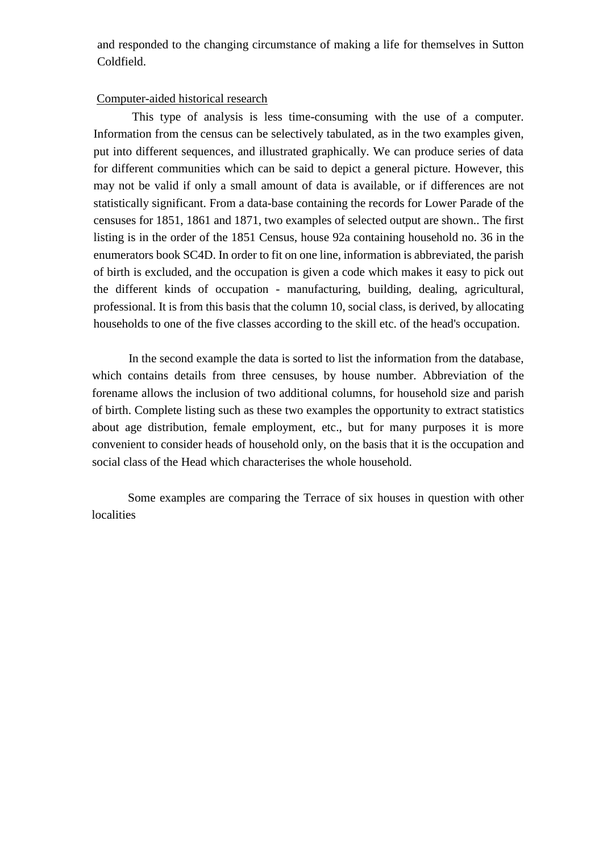and responded to the changing circumstance of making a life for themselves in Sutton Coldfield.

#### Computer-aided historical research

This type of analysis is less time-consuming with the use of a computer. Information from the census can be selectively tabulated, as in the two examples given, put into different sequences, and illustrated graphically. We can produce series of data for different communities which can be said to depict a general picture. However, this may not be valid if only a small amount of data is available, or if differences are not statistically significant. From a data-base containing the records for Lower Parade of the censuses for 1851, 1861 and 1871, two examples of selected output are shown.. The first listing is in the order of the 1851 Census, house 92a containing household no. 36 in the enumerators book SC4D. In order to fit on one line, information is abbreviated, the parish of birth is excluded, and the occupation is given a code which makes it easy to pick out the different kinds of occupation - manufacturing, building, dealing, agricultural, professional. It is from this basis that the column 10, social class, is derived, by allocating households to one of the five classes according to the skill etc. of the head's occupation.

In the second example the data is sorted to list the information from the database, which contains details from three censuses, by house number. Abbreviation of the forename allows the inclusion of two additional columns, for household size and parish of birth. Complete listing such as these two examples the opportunity to extract statistics about age distribution, female employment, etc., but for many purposes it is more convenient to consider heads of household only, on the basis that it is the occupation and social class of the Head which characterises the whole household.

Some examples are comparing the Terrace of six houses in question with other localities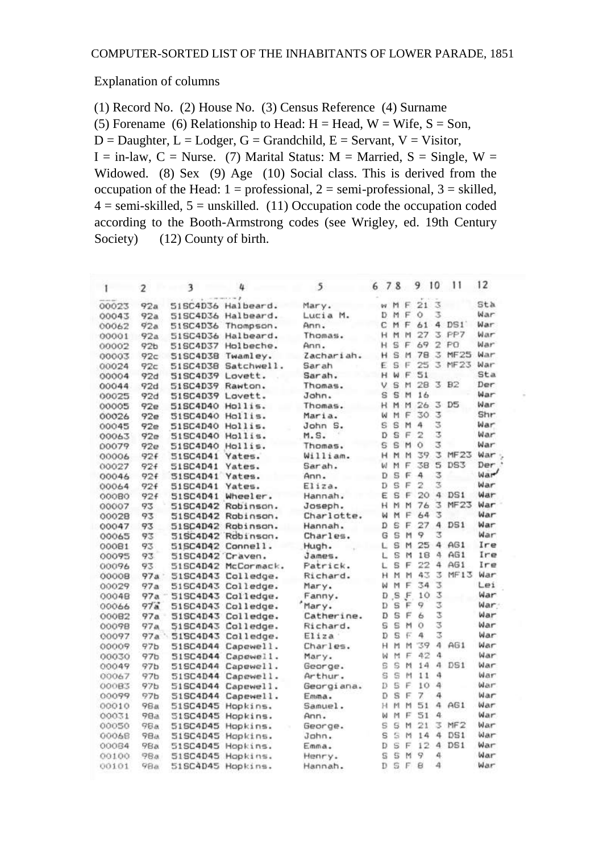#### Explanation of columns

(1) Record No. (2) House No. (3) Census Reference (4) Surname

(5) Forename (6) Relationship to Head:  $H = Head$ ,  $W = Wife$ ,  $S = Son$ ,

 $D =$  Daughter,  $L =$  Lodger,  $G =$  Grandchild,  $E =$  Servant,  $V =$  Visitor,

 $I = in$ -law,  $C = N$ urse. (7) Marital Status: M = Married, S = Single, W = Widowed. (8) Sex (9) Age (10) Social class. This is derived from the occupation of the Head:  $1 =$  professional,  $2 =$  semi-professional,  $3 =$  skilled,  $4 =$ semi-skilled,  $5 =$ unskilled. (11) Occupation code the occupation coded according to the Booth-Armstrong codes (see Wrigley, ed. 19th Century Society) (12) County of birth.

| 1     | $\overline{2}$  | 3                | и                  | 5          | 6 7 8 |              |   | 9  | 10             | 11              | 12              |
|-------|-----------------|------------------|--------------------|------------|-------|--------------|---|----|----------------|-----------------|-----------------|
| 00023 | 92a             |                  | 51SC4D36 Halbeard. | Mary.      | w     | M            | E | 21 | $\overline{3}$ |                 | Sta             |
| 00043 | 92a             |                  | 51SC4D36 Halbeard. | Lucia M.   | D     | M            | F | Ò  | x              |                 | War             |
| 00062 | 92a             | 51SC4D36         | Thompson.          | Ann.       | c     | M            | F | 61 |                | 4 DS1           | War             |
| 00001 | 92a             | 51SC4D36         | Halbeard.          | Thomas.    | н     | M            | M | 27 | 3              | PP7             | War             |
| 00002 | 92 <sub>b</sub> | 51SC4D37         | Holbeche.          | Ann.       | H     | s            | F | 69 | 2              | PO              | War             |
| 00003 | 92c             | 51SC4D38         | Twamley.           | Zachariah. | н     | s            | м | 78 | 3              | <b>MF25</b>     | War             |
| 00024 | 92c             | 51SC4D38         | Satchwell.         | Sarah      | F.    | s            | Е | 25 | 3              | MF23            | War             |
| 00004 | 92d             | 51SC4D39 Lovett. |                    | Sarah.     | н     | ы            | E | 51 |                |                 | Sta             |
| 00044 | 92d             | 51SC4D39 Rawton. |                    | Thomas.    | ν     | s            | м | 28 | 3              | B2              | Der             |
| 00025 | 92d             | 51SC4D39 Lovett. |                    | John.      | s     | s            | M | 16 |                |                 | War             |
| 00005 | 92e             | 51SC4D40 Hollis. |                    | Thomas.    | н     | M            | M | 26 | 3              | D5              | War             |
| 00026 | 92e             | 51SC4D40         | Hollis.            | Maria.     | ш     | M            | F | 30 | 3              |                 | Shr             |
| 00045 | 92e             | 515C4D40         | Hollis.            | John S.    | s     | Ś            | M | 4  | 3              |                 | War             |
| 00063 | 92e             | 51SC4D40         | Hollis.            | M.S.       | D     | s            | F | 2  | E.             |                 | War             |
| 00079 | 92e             | 515C4D40         | Hollis.            | Thomas.    | s     | s            | м | Ŏ  | 3              |                 | War             |
| 00006 | 92f             | 51SC4D41         | Yates.             | William.   | н     | M            | M | 39 | з              | MF23            | War             |
| 00027 | 92f             | 51SC4D41         | Yates.             | Sarah.     | ш     | M            | F | 38 | 5              | DS3             | Der             |
| 00046 | 92f             | 51SC4D41         | Yates.             | Ann.       | D     | S            | F | 4  | 3              |                 | War <sup></sup> |
| 00064 | 92f             | 51SC4D41         | Yates.             | Eliza.     | Ď     | $\mathbf{S}$ | F | 2  | Ż              |                 | War             |
| 00080 | 92f             | 51SC4D41         | Wheeler.           | Hannah.    | Ë     | s            | F | 20 | 4              | DS1             | War             |
| 00007 | 93              | 51SC4D42         | Robinson.          | Joseph.    | н     | м            | M | 76 | 3              | MF23            | War             |
| 00028 | 93              | 51SC4D42         | Robinson.          | Charlotte. | ы     | м            | F | 64 | 3              |                 | War             |
| 00047 | 93              |                  | 51SC4D42 Robinson. | Hannah.    | D     | s            | F | 27 | 4              | DS1             | War             |
| 00065 | 93              | 51SC4D42         | Robinson.          | Charles.   | G     | s            | м | 9  | ż              |                 | War             |
| 00081 | 93              | 51SC4D42         | Connell.           | Hugh.      | L     | S            | M | 25 | 4              | AG1             | Ire             |
| 00095 | 93              | 51SC4D42 Craven. |                    | James.     | L     | S            | м | 18 | a              | AG1             | Ire             |
| 00096 | 93              | 51SC4D42         | McCormack.         | Patrick.   | L     | s            | F | 22 | 4              | AG1             | Ire             |
| 00008 | 97a             | 51SC4D43         | Colledge.          | Richard.   | Ĥ     | м            | M | 43 | 3              | MF13            | War             |
| 00029 | 97a             |                  | 51SC4D43 Colledge. | Mary.      | ы     | M            | E | 34 | 3              |                 | Lei             |
| 00048 | 97a             |                  | 51SC4D43 Colledge. | Fanny.     | Ð     | S            | F | 10 | 3              |                 | War             |
| 00066 | 97a             |                  | 51SC4D43 Colledge. | Mary.      | D     | S            | F | 9  | 3              |                 | War             |
| 00082 | 97a             |                  | 51SC4D43 Colledge. | Catherine. | D     | S            | Ë | Ь  | 3              |                 | War             |
| 00098 | 97a             | 51SC4D43         | Colledge.          | Richard.   | S     | S            | м | Ö  | 3              |                 | War             |
| 00097 | 97a             |                  | 51SC4D43 Colledge. | Eliza      | D     | Ŝ            | E | 4  | 3              |                 | War             |
| 00009 | 97 <sub>b</sub> | 51SC4D44         | Capewell.          | Charles.   | н     | M            | м | 39 | 4              | A61             | War             |
| 00030 | 97 <sub>b</sub> |                  | 51SC4D44 Capewell. | Mary.      | ы     | M            | Ë | 42 | 4              |                 | War             |
| 00049 | 97b             | 51SC4D44         | Capewell.          | George.    | Ŝ     | Ś            | м | 14 | л              | DS1             | War             |
| 00067 | 97b             | 51SC4D44         | Capewell.          | Arthur.    | š     | S            | м | 11 | 4              |                 | War             |
| 000B3 | 97 <sub>b</sub> | 51SC4D44         | Capewell.          | Georgiana. | Ď     | Ŝ            | F | 10 | а              |                 | War             |
| 00099 | 97b             | 51SC4D44         | Capewell.          | Emma.      | Đ     | s            | F | 7  | 4              |                 | War             |
| 00010 | 98a             | 51SC4D45         | Hopkins.           | Samuel.    | H     | м            | M | 51 | 4              | AGI             | War             |
| 00031 | 98a             | 51SC4D45         | Hopkins.           | Ann.       | ы     | Ħ            | F | 51 | 4              |                 | War             |
| 00050 | 98a             | 51SC4D45         | Hopkins.           | George.    | s     | s            | M | 21 | 3              | MF <sub>2</sub> | War             |
| 00068 | 9Ba             | 51SC4D45         | Hopkins.           | John.      | Ŝ     | s            | М | 14 | 4              | DS1             | War             |
| 00084 | 98a             | 51SC4D45         | Hopkins.           | Emma.      | D     | S            | F | 12 | 4              | DS1             | War             |
| 00100 | <b>98a</b>      | 51SC4D45         | Hopkins.           | Henry.     | s     | Ś            | M | 9  | 4              |                 | War             |
| 00101 | 9Ba             | 51SC4D45         | Hopkins.           | Hannah.    | Ď     | s            | F | 8  | 4              |                 | War             |
|       |                 |                  |                    |            |       |              |   |    |                |                 |                 |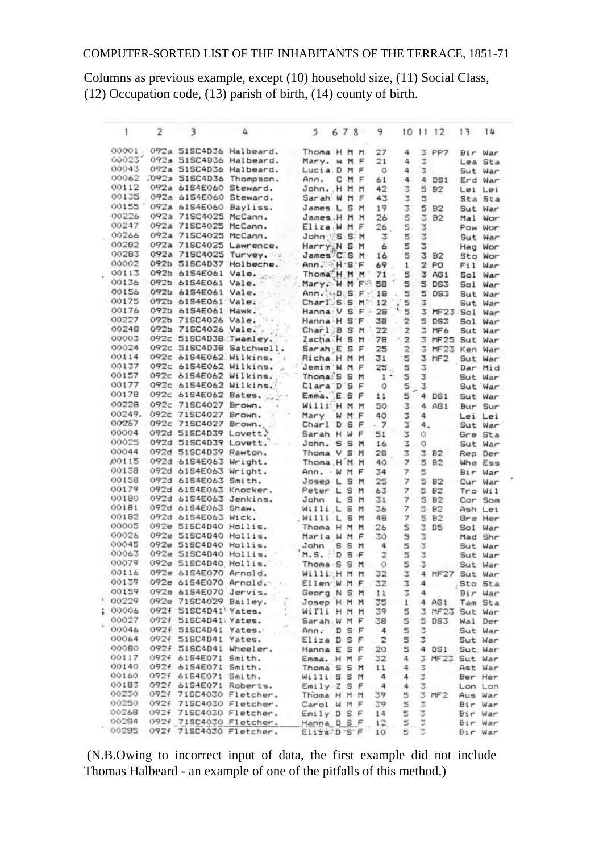Columns as previous example, except (10) household size, (11) Social Class, (12) Occupation code, (13) parish of birth, (14) county of birth.

| 1      | 2    | 3                            | 4                                             | $5 -$                                    | 678            |   | 9                       |                          |        | 10 11 12         | 13      | 14       |
|--------|------|------------------------------|-----------------------------------------------|------------------------------------------|----------------|---|-------------------------|--------------------------|--------|------------------|---------|----------|
|        |      |                              | 00001 . 092a 51SC4D36 Halbeard.               | Thoma H M M                              |                |   | 27                      | 4                        | 3      | PP7              |         | Bir War  |
| 60023  |      |                              | 092a 51SC4D36 Halbeard.                       | Mary. w M F                              |                |   | 21                      | 4                        | 3      |                  |         | Lea Sta  |
| 00043  |      |                              | 092a 515C4D36 Halbeard.                       | Lucia D M F                              |                |   | $\circ$                 | 4                        | 3      |                  |         | Sut War  |
| 00062  |      |                              | .092a 51SC4D36 Thompson.                      | Ann.                                     | CMF            |   | 61                      | 4.                       | 4      | DS1              |         | Erd War  |
| 00112  |      | 092a 61S4E060 Steward.       |                                               | John. H M M                              |                |   | 42                      | 3                        | 5      | B2               |         | Lei Lei  |
| 00135  |      | 092a 61S4E060 Steward.       |                                               | Sarah W M F                              |                |   | 43                      | 3                        | 5      |                  |         | Sta Sta  |
|        |      | 00155 092a 61S4E060 Bayliss. |                                               | James L S M                              |                |   | 19                      | 3                        | 5      | BZ               |         | Sut War  |
| 00226  |      | 092a 71SC4025 McCann.        |                                               | James.H M M                              |                |   | 26                      | 5                        | 3      | B2               |         | Mal Wor  |
| 00247  |      | 092a 71SC4025 McCann.        |                                               | Eliza W M F                              |                |   | 26 <sub>1</sub>         | 5                        | 3      |                  |         | Pow Wor  |
| 00266  |      |                              | 092a 71SC4025 McCann.                         | John US S.M                              |                |   | з                       | 5                        | 3      |                  |         | Sut War  |
| 00282  |      |                              | 092a 71SC4025 Lawrence.                       | Harry <sub>x</sub> N S M                 |                |   | 6                       | 5                        | 2      |                  |         |          |
| 00283  |      |                              | 092a 71SC4025 Turvey.                         | James <sup>7</sup> C.S.M                 |                |   |                         | 5                        |        | 3 B <sub>2</sub> |         | Hag Wor  |
| 00002  |      |                              | 092b 51SC4D37 Holbeche.                       | Ann. H.S.F                               |                |   | 16                      |                          |        |                  |         | Sto War  |
| 00113  |      |                              |                                               |                                          |                |   | 69                      | $\mathbf{1}$             |        | 2P0              |         | Fil War  |
| 00136  |      |                              | 092b 61S4E061 Vale.                           | Thoma <sup>N</sup> M M                   |                |   | 71                      | 5<br>il al               |        | 3 AG1            |         | Sol War  |
|        |      | 092b 61S4E061 Vale.          |                                               | Mary. W M FS                             |                |   | 58                      | 5                        | 5      | DS3              |         | Sol War  |
| 00156  |      |                              | 092b 61S4E061 Vale.                           | Ann. :  D. S. F.                         |                |   | 18                      | 5                        | 5      | DS3              |         | Sut War  |
| 00175  |      | 092b 61S4E061 Vale.          | 證                                             | Charl's S M ?.                           |                |   | 12                      | 5<br>Ã.                  | з      |                  |         | Sut War  |
| 00176  |      | 092b 61S4E061 Hawk           |                                               | Hanna V S F -                            |                |   | 28                      | 5                        |        | 3 MF23 Sol War   |         |          |
| 00227  |      | 092b 71SC4026 Vale.          | $+5,4$                                        | Hanna H S F                              |                |   | 38                      | 2                        |        | 5DS3             |         | Sol War  |
| 00248  |      |                              |                                               | Charl B S M                              |                |   | 22                      | $\mathbf{z}$             |        | 3 MF6            |         | Sut War  |
| 00003  |      |                              | 092b 71SC4026 Vale.<br>092c 51SC4D38 Twamley. | Zacha H S.M                              |                |   | 78                      | $\overline{\mathbf{z}}$  |        | 3 MF25 Sut War   |         |          |
| 00024  |      |                              | 092c 51SC4D38 Satchwell.                      | Sarah E S F                              |                |   | 25                      | $\overline{\mathbf{z}}$  |        | 3 MF23           |         | Ken War  |
| 00114  |      |                              | 092c 6154E062 Wilkins.                        | Richa H M M                              |                |   | 31                      | 15                       |        | 3 MF2            |         | Sut War  |
| 00137  |      |                              | 092c 6154E062 Wilkins. . Jemim W M F          |                                          |                |   | 25.                     | 5                        | 3      |                  |         | Dar Mid  |
| 00157  |      |                              | 092c 6154E062 Wilkins.                        | Thoma: S S M                             |                |   | $1 -$                   | 5                        | 3      |                  |         | Sut War  |
| 00177  |      |                              | 092c 61S4E062 Wilkins.                        | Clara D'S F                              |                |   | 0                       | 5                        | 3      |                  |         | Sut War  |
| 00178  |      |                              | 092c 61S4E062 Bates.  Emma. E.S F             |                                          |                |   | 11                      | 5                        |        | 4 DS1            |         | Sut War  |
| 00228  |      | 092c 71SC4027 Brown.         |                                               | Willi H M M                              |                |   | 50                      | 3                        |        | 4 AGI            |         | Bur Sur  |
| 00249. |      | 092c 71SC4027 Brown.         |                                               | Mary                                     | W.M.F          |   | 40                      | 2                        | 4      |                  |         |          |
| 00257  |      | 092c 71SC4027 Brown.         |                                               | Charl D S F                              |                |   | .7                      | 2                        | 4.     |                  |         | Lei Lei  |
| 00004  |      | 092d 51SC4D39 Lovett.        |                                               |                                          |                |   |                         |                          |        |                  |         | Sut War  |
| 00025  |      |                              | 092d 51SC4D39 Lovett. John. S S M             | Sarah H W F                              |                |   | 51                      | 2                        | Ō.     |                  |         | Gre Sta  |
| 00044  |      |                              |                                               |                                          |                |   | 16                      | 3                        | o      |                  |         | Sut War  |
|        |      | 092d 51SC4D39 Rawton.        |                                               | Thoma V S M<br>Thoma, H <sup>'</sup> M M |                |   | 28                      | 3                        | 3      | B <sub>2</sub>   |         | Rep Der  |
| D0115  |      |                              | 092d 6154E063 Wright.                         |                                          |                |   | 40                      | 7                        | 5      | B2               |         | Whe Ess  |
| 00138  |      | 092d 6154E063 Wright.        |                                               | Ann. WMF                                 |                |   | 34                      | $\tau$                   | 5      |                  |         | Bir War  |
| 00158  |      |                              | 092d 61S4E063 Smith.                          | Josep L S M                              |                |   | 25                      | $\overline{\phantom{a}}$ | 5      | B2               |         | Cur War  |
| 00179  |      |                              | 092d 6154E063 Knocker.                        | Peter L S M                              |                |   | 63                      | $\overline{\phantom{a}}$ | 5      | B <sub>2</sub>   |         | Tro Wil  |
| 00180  |      | 092d 61S4E063 Jenkins.       |                                               | John                                     | LSM            |   | 31                      | $\overline{7}$           |        | <b>5 B2</b>      |         | Cor Som  |
| 00181  |      |                              | 092d 6154E063 Shaw.                           | Willi L S M                              |                |   | 36                      | $\overline{7}$           | 5      | B2               |         | Ash Lei  |
| 00182  |      | 092d 61S4E063 Wick.          |                                               | Willi L                                  | S M            |   | 48                      | $\boldsymbol{\tau}$      |        | 5 82             |         | Gre Her  |
| 00005  |      | 092e 515C4D40 Hollis.        |                                               | Thoma H M M                              |                |   | 26                      | 5                        | 3      | D <sub>5</sub>   |         | Sol War  |
| 00026  |      | 092e 51SC4D40 Hollis.        |                                               | Maria W M F                              |                |   | 30                      | E.                       | 2      |                  |         | Mad Shr  |
| 00045  |      |                              | 092e 51SC4D40 Hollis.                         | John                                     | SSM            |   | 4                       | 5                        | 3      |                  |         | Sut War  |
| 00063  |      |                              | 092e 51SC4D40 Hollis.                         | $M.S.$ D $S.F$                           |                |   | $\overline{2}$          | s                        | 2      |                  |         | Sut War  |
| 00079  |      |                              | 092e 51SC4D40 Hollis. Thoma S S M             |                                          |                |   |                         | 5<br>$\circ$             | 3      |                  |         | Sut War  |
| 00116  |      | 092e 61S4E070 Arnold.        |                                               | Willi <sub>H</sub> M M                   |                |   | 32                      | z.                       |        | 4 MF27           |         | Sut War  |
| 00139  |      | 092e 6154E070 Arnold.        | ¥h.                                           | Ellen W.M F                              |                |   | 32                      | 3                        | 4      |                  |         | Sto Sta  |
| 00159  |      | 092e 6154E070 Jervis.        |                                               | Georg N S M                              |                |   | 11                      | 2                        | 4      |                  |         | Bir War  |
| 00229  |      | 092e 71SC4029 Bailey.        |                                               | Josep H.M M                              |                |   | 35                      | $\mathbf{1}$             |        | 4 AG1            |         | Tam Sta  |
| 00006  |      | 092f 51SC4D41' Yates.        |                                               | Willi H M M                              |                |   | 39                      | 5                        | 2      | MF23             |         | Sut War  |
| 00027  |      | 092f 51SC4D41 Yates.         |                                               | Sarah W M F                              |                |   | 38                      | 5                        | 5      | DS3              |         | Wal Der  |
| 00046  |      | 092f SISC4D41 Yates.         |                                               |                                          |                |   |                         |                          |        |                  |         | Sut War  |
| 00064  |      | 092f 515C4D41 Yates.         |                                               | Ann.                                     | D <sub>S</sub> | E | $\overline{A}$          | 5<br>5                   | 3<br>3 |                  |         |          |
| 00080  |      |                              |                                               | Eliza D S F                              |                |   | $\overline{\mathbf{z}}$ |                          |        |                  |         | Sut War  |
|        |      | 092f 51SC4D41 Wheeler.       |                                               | Hanna E S F                              |                |   | 20                      | 5                        | 4      | DS1              |         | Sut, War |
| 00117  |      | 092f 61S4E071 Smith.         |                                               | Emma. H M F                              |                |   | 32                      | 4                        | 3      | MF 23            |         | Sut War  |
| 00140  |      | 092f 61S4E071 Smith.         |                                               | Thoma S S M                              |                |   | 11                      | 4                        | 3      |                  |         | Ast War  |
| 00160  |      | 092f 61S4E071 Smith.         |                                               | Williss M                                |                |   | 4                       | 4                        | 3      |                  |         | Ber Her  |
| 00183  |      | 092f 61S4E071 Roberts.       |                                               | Emily Z S F                              |                |   | 4                       | $\ddot{\phantom{a}}$     | 3      |                  |         | Lon Lon  |
| 00230  | 092f |                              | 71SC4030 Fletcher.                            | Thoma H M M                              |                |   | 39                      | 5                        | 3      | MF <sub>2</sub>  |         | Aus War  |
| 00250  |      |                              | 092f 71SC4030 Fletcher.                       | Carol W M F                              |                |   | 39                      | 5                        | 3      |                  |         | Bir War  |
| 00268  | 092f |                              | 71SC4030 Fletcher.                            | $Enily$ $D$ $S$ $F$                      |                |   | 14                      | 5                        | z      |                  |         | Bir War  |
| 00284  |      |                              | 092f 71SC4030 Fletcher.                       | Hanna D S F                              |                |   | 12.                     | 5                        | I      |                  |         | Bir War  |
| 00285  |      |                              | 092f 71SC4030 Fletcher.                       | Eliza D'S F                              |                |   | 10                      | 5                        |        |                  | Bir War |          |

(N.B.Owing to incorrect input of data, the first example did not include Thomas Halbeard - an example of one of the pitfalls of this method.)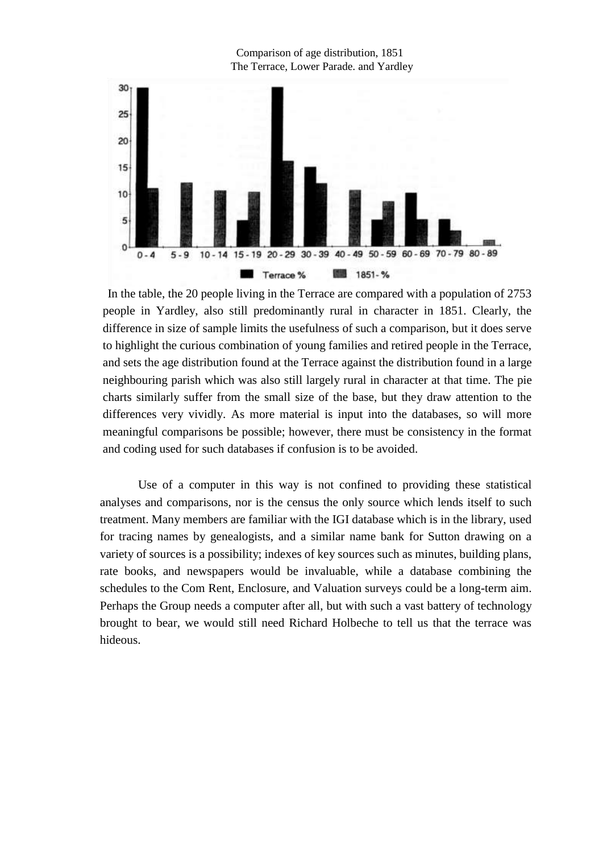

In the table, the 20 people living in the Terrace are compared with a population of 2753 people in Yardley, also still predominantly rural in character in 1851. Clearly, the difference in size of sample limits the usefulness of such a comparison, but it does serve to highlight the curious combination of young families and retired people in the Terrace, and sets the age distribution found at the Terrace against the distribution found in a large neighbouring parish which was also still largely rural in character at that time. The pie charts similarly suffer from the small size of the base, but they draw attention to the differences very vividly. As more material is input into the databases, so will more meaningful comparisons be possible; however, there must be consistency in the format and coding used for such databases if confusion is to be avoided.

Use of a computer in this way is not confined to providing these statistical analyses and comparisons, nor is the census the only source which lends itself to such treatment. Many members are familiar with the IGI database which is in the library, used for tracing names by genealogists, and a similar name bank for Sutton drawing on a variety of sources is a possibility; indexes of key sources such as minutes, building plans, rate books, and newspapers would be invaluable, while a database combining the schedules to the Com Rent, Enclosure, and Valuation surveys could be a long-term aim. Perhaps the Group needs a computer after all, but with such a vast battery of technology brought to bear, we would still need Richard Holbeche to tell us that the terrace was hideous.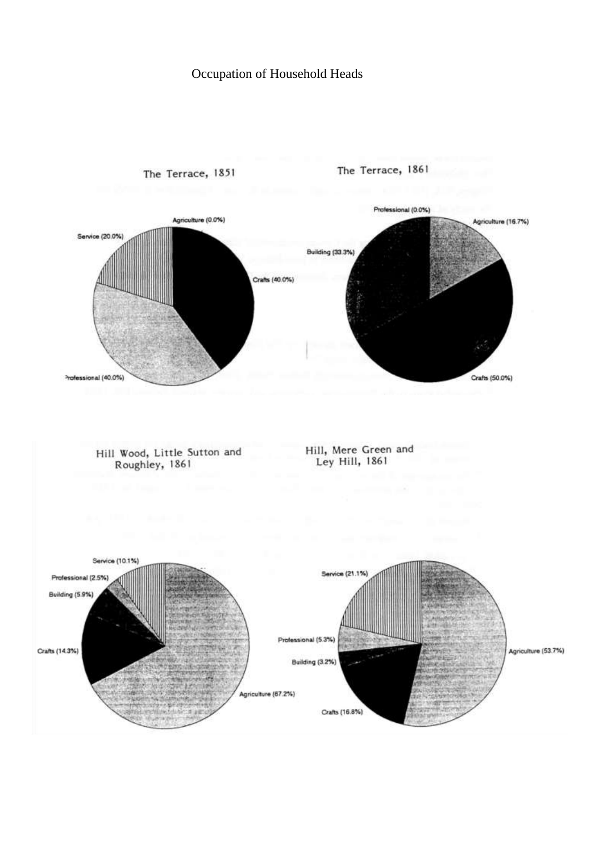# Occupation of Household Heads